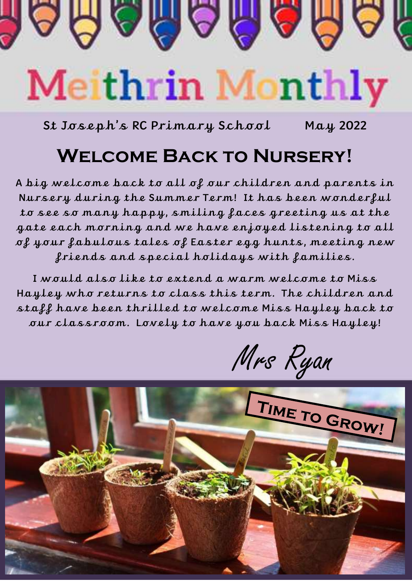

**St Joseph's RC Primary School May 2022**

## **Welcome Back to Nursery!**

**A big welcome back to all of our children and parents in Nursery during the Summer Term! It has been wonderful to see so many happy, smiling faces greeting us at the gate each morning and we have enjoyed listening to all of your fabulous tales of Easter egg hunts, meeting new friends and special holidays with families.**

**I would also like to extend a warm welcome to Miss Hayley who returns to class this term. The children and staff have been thrilled to welcome Miss Hayley back to our classroom. Lovely to have you back Miss Hayley!**

Mrs Ryan